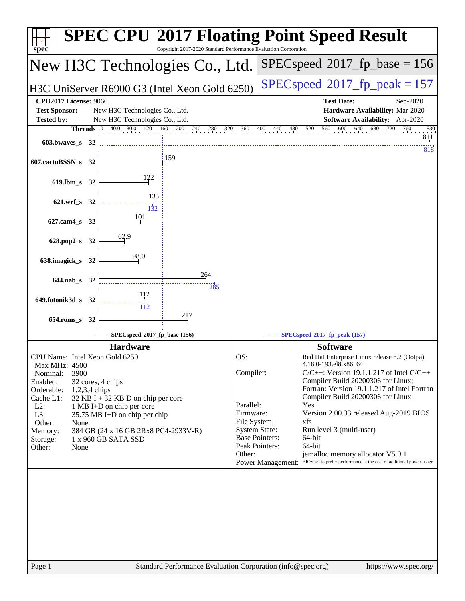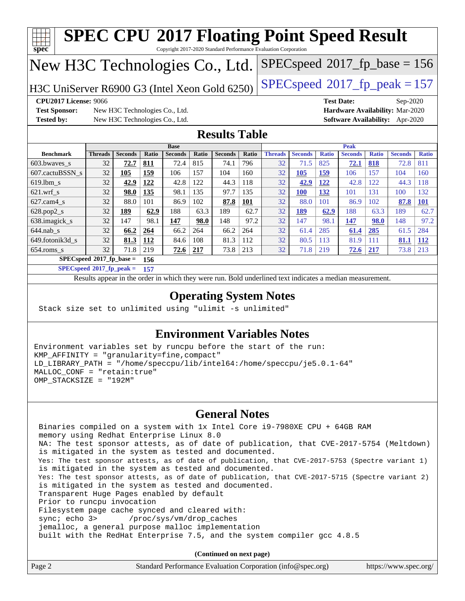| <b>SPEC CPU®2017 Floating Point Speed Result</b>                                         |                                                               |                                |                     |                        |                     |                        |              |                      |                        |                     |                        |                     |                                        |                     |
|------------------------------------------------------------------------------------------|---------------------------------------------------------------|--------------------------------|---------------------|------------------------|---------------------|------------------------|--------------|----------------------|------------------------|---------------------|------------------------|---------------------|----------------------------------------|---------------------|
| spec<br>Copyright 2017-2020 Standard Performance Evaluation Corporation                  |                                                               |                                |                     |                        |                     |                        |              |                      |                        |                     |                        |                     |                                        |                     |
| $SPEC speed^{\circ}2017$ _fp_base = 156<br>New H3C Technologies Co., Ltd.                |                                                               |                                |                     |                        |                     |                        |              |                      |                        |                     |                        |                     |                                        |                     |
| $SPEC speed^{\circ}2017$ _fp_peak = 157<br>H3C UniServer R6900 G3 (Intel Xeon Gold 6250) |                                                               |                                |                     |                        |                     |                        |              |                      |                        |                     |                        |                     |                                        |                     |
|                                                                                          | <b>CPU2017 License: 9066</b><br><b>Test Date:</b><br>Sep-2020 |                                |                     |                        |                     |                        |              |                      |                        |                     |                        |                     |                                        |                     |
| <b>Test Sponsor:</b>                                                                     |                                                               | New H3C Technologies Co., Ltd. |                     |                        |                     |                        |              |                      |                        |                     |                        |                     | Hardware Availability: Mar-2020        |                     |
| <b>Tested by:</b>                                                                        |                                                               | New H3C Technologies Co., Ltd. |                     |                        |                     |                        |              |                      |                        |                     |                        |                     | <b>Software Availability:</b> Apr-2020 |                     |
| <b>Results Table</b>                                                                     |                                                               |                                |                     |                        |                     |                        |              |                      |                        |                     |                        |                     |                                        |                     |
|                                                                                          |                                                               |                                |                     | <b>Base</b>            |                     |                        |              |                      |                        |                     | Peak                   |                     |                                        |                     |
| <b>Benchmark</b><br>603.bwaves_s                                                         | <b>Threads</b><br>32                                          | <b>Seconds</b><br>72.7         | <b>Ratio</b><br>811 | <b>Seconds</b><br>72.4 | <b>Ratio</b><br>815 | <b>Seconds</b><br>74.1 | Ratio<br>796 | <b>Threads</b><br>32 | <b>Seconds</b><br>71.5 | <b>Ratio</b><br>825 | <b>Seconds</b><br>72.1 | <b>Ratio</b><br>818 | <b>Seconds</b><br>72.8                 | <b>Ratio</b><br>811 |
| 607.cactuBSSN s                                                                          | 32                                                            | 105                            | 159                 | 106                    | 157                 | 104                    | 160          | 32                   | 105                    | 159                 | 106                    | 157                 | 104                                    | 160                 |
| $619.$ lbm s                                                                             | 32                                                            | 42.9                           | 122                 | 42.8                   | 122                 | 44.3                   | 118          | 32                   | 42.9                   | 122                 | 42.8                   | 122                 | 44.3                                   | 118                 |
| $621.wrf$ <sub>s</sub>                                                                   | 32                                                            | 98.0                           | 135                 | 98.1                   | 135                 | 97.7                   | 135          | 32                   | <b>100</b>             | 132                 | 101                    | 131                 | 100                                    | 132                 |
| $627.cam4_s$                                                                             | 32                                                            | 88.0                           | 101                 | 86.9                   | 102                 | 87.8                   | 101          | 32                   | 88.0                   | 101                 | 86.9                   | 102                 | 87.8                                   | <b>101</b>          |
| 628.pop2_s                                                                               | 32                                                            | 189                            | 62.9                | 188                    | 63.3                | 189                    | 62.7         | 32                   | 189                    | 62.9                | 188                    | 63.3                | 189                                    | 62.7                |
| 638.imagick_s                                                                            | 32                                                            | 147                            | 98.1                | 147                    | 98.0                | 148                    | 97.2         | 32                   | 147                    | 98.1                | 147                    | 98.0                | 148                                    | 97.2                |
| $644.nab$ <sub>s</sub>                                                                   | 32                                                            | 66.2                           | 264                 | 66.2                   | 264                 | 66.2                   | 264          | 32                   | 61.4                   | 285                 | 61.4                   | 285                 | 61.5                                   | 284                 |
| 649.fotonik3d s                                                                          | 32                                                            | 81.3                           | 112                 | 84.6                   | 108                 | 81.3                   | 112          | 32                   | 80.5                   | 113                 | 81.9                   | 111                 | 81.1                                   | <u>112</u>          |
| 654.roms s                                                                               | 32                                                            | 71.8                           | 219                 | 72.6                   | 217                 | 73.8                   | 213          | 32                   | 71.8                   | 219                 | 72.6                   | 217                 | 73.8                                   | 213                 |
| $SPECspeed*2017_fp\_base =$<br>156                                                       |                                                               |                                |                     |                        |                     |                        |              |                      |                        |                     |                        |                     |                                        |                     |

**[SPECspeed](http://www.spec.org/auto/cpu2017/Docs/result-fields.html#SPECspeed2017fppeak)[2017\\_fp\\_peak =](http://www.spec.org/auto/cpu2017/Docs/result-fields.html#SPECspeed2017fppeak) 157**

Results appear in the [order in which they were run.](http://www.spec.org/auto/cpu2017/Docs/result-fields.html#RunOrder) Bold underlined text [indicates a median measurement](http://www.spec.org/auto/cpu2017/Docs/result-fields.html#Median).

#### **[Operating System Notes](http://www.spec.org/auto/cpu2017/Docs/result-fields.html#OperatingSystemNotes)**

Stack size set to unlimited using "ulimit -s unlimited"

#### **[Environment Variables Notes](http://www.spec.org/auto/cpu2017/Docs/result-fields.html#EnvironmentVariablesNotes)**

Environment variables set by runcpu before the start of the run: KMP\_AFFINITY = "granularity=fine,compact" LD\_LIBRARY\_PATH = "/home/speccpu/lib/intel64:/home/speccpu/je5.0.1-64" MALLOC\_CONF = "retain:true" OMP\_STACKSIZE = "192M"

### **[General Notes](http://www.spec.org/auto/cpu2017/Docs/result-fields.html#GeneralNotes)**

 Binaries compiled on a system with 1x Intel Core i9-7980XE CPU + 64GB RAM memory using Redhat Enterprise Linux 8.0 NA: The test sponsor attests, as of date of publication, that CVE-2017-5754 (Meltdown) is mitigated in the system as tested and documented. Yes: The test sponsor attests, as of date of publication, that CVE-2017-5753 (Spectre variant 1) is mitigated in the system as tested and documented. Yes: The test sponsor attests, as of date of publication, that CVE-2017-5715 (Spectre variant 2) is mitigated in the system as tested and documented. Transparent Huge Pages enabled by default Prior to runcpu invocation Filesystem page cache synced and cleared with: sync; echo 3> /proc/sys/vm/drop\_caches jemalloc, a general purpose malloc implementation built with the RedHat Enterprise 7.5, and the system compiler gcc 4.8.5

**(Continued on next page)**

| Page 2<br>Standard Performance Evaluation Corporation (info@spec.org)<br>https://www.spec.org/ |
|------------------------------------------------------------------------------------------------|
|------------------------------------------------------------------------------------------------|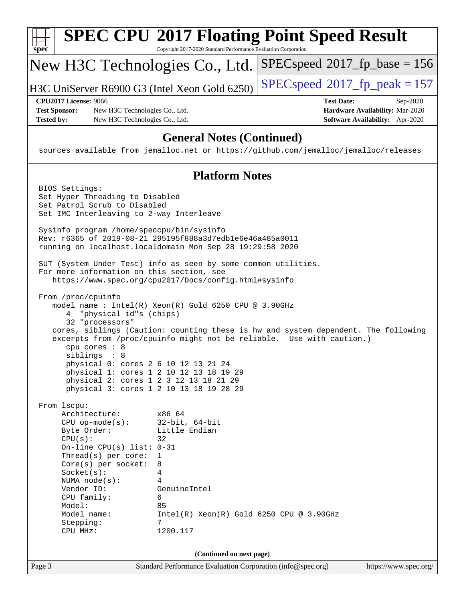| spec                                      |                                                                                                                                                                                                                                                                              | Copyright 2017-2020 Standard Performance Evaluation Corporation                                                                                                        | <b>SPEC CPU®2017 Floating Point Speed Result</b>                                                                                                            |                                                                                |
|-------------------------------------------|------------------------------------------------------------------------------------------------------------------------------------------------------------------------------------------------------------------------------------------------------------------------------|------------------------------------------------------------------------------------------------------------------------------------------------------------------------|-------------------------------------------------------------------------------------------------------------------------------------------------------------|--------------------------------------------------------------------------------|
|                                           |                                                                                                                                                                                                                                                                              | New H3C Technologies Co., Ltd.                                                                                                                                         | $SPEC speed^{\circ}2017\_fp\_base = 156$                                                                                                                    |                                                                                |
|                                           |                                                                                                                                                                                                                                                                              | H3C UniServer R6900 G3 (Intel Xeon Gold 6250)                                                                                                                          | $SPEC speed^{\circ}2017$ _fp_peak = 157                                                                                                                     |                                                                                |
| <b>Test Sponsor:</b><br><b>Tested by:</b> | <b>CPU2017 License: 9066</b><br>New H3C Technologies Co., Ltd.<br>New H3C Technologies Co., Ltd.                                                                                                                                                                             |                                                                                                                                                                        | <b>Test Date:</b>                                                                                                                                           | Sep-2020<br>Hardware Availability: Mar-2020<br>Software Availability: Apr-2020 |
|                                           |                                                                                                                                                                                                                                                                              | <b>General Notes (Continued)</b>                                                                                                                                       | sources available from jemalloc.net or https://github.com/jemalloc/jemalloc/releases                                                                        |                                                                                |
|                                           |                                                                                                                                                                                                                                                                              | <b>Platform Notes</b>                                                                                                                                                  |                                                                                                                                                             |                                                                                |
|                                           | BIOS Settings:<br>Set Hyper Threading to Disabled<br>Set Patrol Scrub to Disabled<br>Set IMC Interleaving to 2-way Interleave                                                                                                                                                |                                                                                                                                                                        |                                                                                                                                                             |                                                                                |
|                                           | Sysinfo program /home/speccpu/bin/sysinfo                                                                                                                                                                                                                                    | Rev: r6365 of 2019-08-21 295195f888a3d7edble6e46a485a0011<br>running on localhost.localdomain Mon Sep 28 19:29:58 2020                                                 |                                                                                                                                                             |                                                                                |
|                                           | For more information on this section, see                                                                                                                                                                                                                                    | SUT (System Under Test) info as seen by some common utilities.<br>https://www.spec.org/cpu2017/Docs/config.html#sysinfo                                                |                                                                                                                                                             |                                                                                |
|                                           | From /proc/cpuinfo<br>4 "physical id"s (chips)<br>32 "processors"<br>cpu cores $: 8$<br>siblings : 8<br>physical 0: cores 2 6 10 12 13 21 24<br>physical 1: cores 1 2 10 12 13 18 19 29<br>physical 2: cores 1 2 3 12 13 18 21 29<br>physical 3: cores 1 2 10 13 18 19 28 29 | model name : Intel(R) Xeon(R) Gold 6250 CPU @ 3.90GHz                                                                                                                  | cores, siblings (Caution: counting these is hw and system dependent. The following<br>excerpts from /proc/cpuinfo might not be reliable. Use with caution.) |                                                                                |
|                                           | From 1scpu:<br>Architecture:<br>$CPU$ op-mode( $s$ ):<br>Byte Order:<br>CPU(s):<br>On-line CPU(s) list: $0-31$<br>Thread(s) per core:<br>$Core(s)$ per socket:<br>Socket(s):<br>NUMA node(s):<br>Vendor ID:<br>CPU family:<br>Model:<br>Model name:<br>Stepping:<br>CPU MHz: | x86 64<br>$32$ -bit, $64$ -bit<br>Little Endian<br>32<br>1<br>8<br>4<br>4<br>GenuineIntel<br>6<br>85<br>$Intel(R)$ Xeon $(R)$ Gold 6250 CPU @ 3.90GHz<br>7<br>1200.117 |                                                                                                                                                             |                                                                                |
|                                           |                                                                                                                                                                                                                                                                              | (Continued on next page)                                                                                                                                               |                                                                                                                                                             |                                                                                |
| Page 3                                    |                                                                                                                                                                                                                                                                              | Standard Performance Evaluation Corporation (info@spec.org)                                                                                                            |                                                                                                                                                             | https://www.spec.org/                                                          |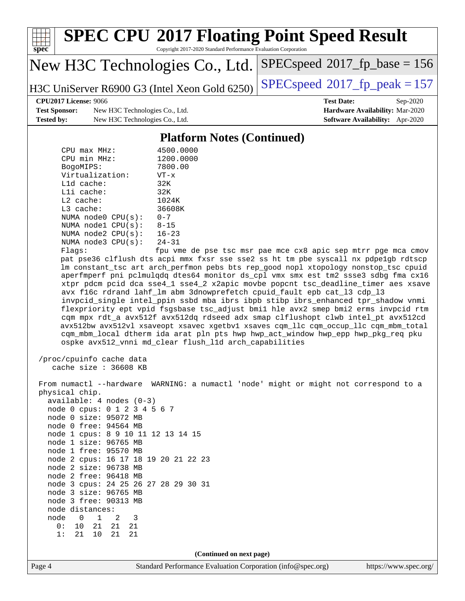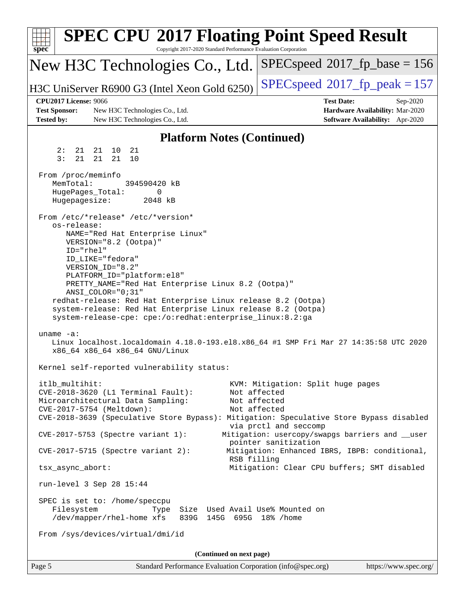| <b>SPEC CPU®2017 Floating Point Speed Result</b><br>spec <sup>®</sup><br>Copyright 2017-2020 Standard Performance Evaluation Corporation                                                                                                                                                                                                                                                                                                                                 |                                                                                                                                                                                       |
|--------------------------------------------------------------------------------------------------------------------------------------------------------------------------------------------------------------------------------------------------------------------------------------------------------------------------------------------------------------------------------------------------------------------------------------------------------------------------|---------------------------------------------------------------------------------------------------------------------------------------------------------------------------------------|
| New H3C Technologies Co., Ltd.                                                                                                                                                                                                                                                                                                                                                                                                                                           | $SPEC speed^{\circ}2017\_fp\_base = 156$                                                                                                                                              |
| H3C UniServer R6900 G3 (Intel Xeon Gold 6250)                                                                                                                                                                                                                                                                                                                                                                                                                            | $SPEC speed^{\circ}2017$ fp peak = 157                                                                                                                                                |
| <b>CPU2017 License: 9066</b><br><b>Test Sponsor:</b><br>New H3C Technologies Co., Ltd.<br><b>Tested by:</b><br>New H3C Technologies Co., Ltd.                                                                                                                                                                                                                                                                                                                            | <b>Test Date:</b><br>Sep-2020<br>Hardware Availability: Mar-2020<br>Software Availability: Apr-2020                                                                                   |
| <b>Platform Notes (Continued)</b>                                                                                                                                                                                                                                                                                                                                                                                                                                        |                                                                                                                                                                                       |
| 21<br>2:<br>21<br>21 10                                                                                                                                                                                                                                                                                                                                                                                                                                                  |                                                                                                                                                                                       |
| 3:<br>21<br>21<br>21<br>10                                                                                                                                                                                                                                                                                                                                                                                                                                               |                                                                                                                                                                                       |
| From /proc/meminfo<br>MemTotal:<br>394590420 kB<br>HugePages_Total:<br>0<br>Hugepagesize:<br>2048 kB                                                                                                                                                                                                                                                                                                                                                                     |                                                                                                                                                                                       |
| From /etc/*release* /etc/*version*<br>os-release:<br>NAME="Red Hat Enterprise Linux"<br>VERSION="8.2 (Ootpa)"<br>ID="rhel"<br>ID_LIKE="fedora"<br>VERSION_ID="8.2"<br>PLATFORM_ID="platform:el8"<br>PRETTY_NAME="Red Hat Enterprise Linux 8.2 (Ootpa)"<br>ANSI_COLOR="0;31"<br>redhat-release: Red Hat Enterprise Linux release 8.2 (Ootpa)<br>system-release: Red Hat Enterprise Linux release 8.2 (Ootpa)<br>system-release-cpe: cpe:/o:redhat:enterprise_linux:8.2:ga |                                                                                                                                                                                       |
| uname $-a$ :<br>Linux localhost.localdomain 4.18.0-193.el8.x86_64 #1 SMP Fri Mar 27 14:35:58 UTC 2020<br>x86_64 x86_64 x86_64 GNU/Linux                                                                                                                                                                                                                                                                                                                                  |                                                                                                                                                                                       |
| Kernel self-reported vulnerability status:                                                                                                                                                                                                                                                                                                                                                                                                                               |                                                                                                                                                                                       |
| itlb_multihit:<br>CVE-2018-3620 (L1 Terminal Fault):<br>Microarchitectural Data Sampling:<br>CVE-2017-5754 (Meltdown):<br>CVE-2018-3639 (Speculative Store Bypass): Mitigation: Speculative Store Bypass disabled<br>CVE-2017-5753 (Spectre variant 1):                                                                                                                                                                                                                  | KVM: Mitigation: Split huge pages<br>Not affected<br>Not affected<br>Not affected<br>via prctl and seccomp<br>Mitigation: usercopy/swapgs barriers and __user<br>pointer sanitization |
| $CVE-2017-5715$ (Spectre variant 2):<br>RSB filling                                                                                                                                                                                                                                                                                                                                                                                                                      | Mitigation: Enhanced IBRS, IBPB: conditional,                                                                                                                                         |
| tsx_async_abort:                                                                                                                                                                                                                                                                                                                                                                                                                                                         | Mitigation: Clear CPU buffers; SMT disabled                                                                                                                                           |
| run-level 3 Sep 28 15:44                                                                                                                                                                                                                                                                                                                                                                                                                                                 |                                                                                                                                                                                       |
| SPEC is set to: /home/speccpu<br>Filesystem<br>Size Used Avail Use% Mounted on<br>Type<br>/dev/mapper/rhel-home xfs<br>839G 145G 695G 18% / home<br>From /sys/devices/virtual/dmi/id                                                                                                                                                                                                                                                                                     |                                                                                                                                                                                       |
| (Continued on next page)                                                                                                                                                                                                                                                                                                                                                                                                                                                 |                                                                                                                                                                                       |
| Page 5<br>Standard Performance Evaluation Corporation (info@spec.org)                                                                                                                                                                                                                                                                                                                                                                                                    | https://www.spec.org/                                                                                                                                                                 |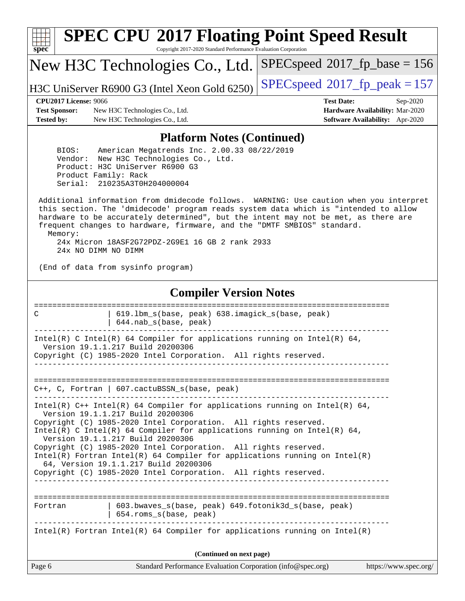| s<br>æ<br>n<br>C<br>c |  |  |  |  |  |  |
|-----------------------|--|--|--|--|--|--|

# **[SPEC CPU](http://www.spec.org/auto/cpu2017/Docs/result-fields.html#SPECCPU2017FloatingPointSpeedResult)[2017 Floating Point Speed Result](http://www.spec.org/auto/cpu2017/Docs/result-fields.html#SPECCPU2017FloatingPointSpeedResult)**

Copyright 2017-2020 Standard Performance Evaluation Corporation

New H3C Technologies Co., Ltd.

H3C UniServer R6900 G3 (Intel Xeon Gold 6250) [SPECspeed](http://www.spec.org/auto/cpu2017/Docs/result-fields.html#SPECspeed2017fppeak)<sup>®</sup>[2017\\_fp\\_peak = 1](http://www.spec.org/auto/cpu2017/Docs/result-fields.html#SPECspeed2017fppeak)57

[SPECspeed](http://www.spec.org/auto/cpu2017/Docs/result-fields.html#SPECspeed2017fpbase)<sup>®</sup>2017 fp base = 156

**[Test Sponsor:](http://www.spec.org/auto/cpu2017/Docs/result-fields.html#TestSponsor)** New H3C Technologies Co., Ltd. **[Hardware Availability:](http://www.spec.org/auto/cpu2017/Docs/result-fields.html#HardwareAvailability)** Mar-2020 **[Tested by:](http://www.spec.org/auto/cpu2017/Docs/result-fields.html#Testedby)** New H3C Technologies Co., Ltd. **[Software Availability:](http://www.spec.org/auto/cpu2017/Docs/result-fields.html#SoftwareAvailability)** Apr-2020

**[CPU2017 License:](http://www.spec.org/auto/cpu2017/Docs/result-fields.html#CPU2017License)** 9066 **[Test Date:](http://www.spec.org/auto/cpu2017/Docs/result-fields.html#TestDate)** Sep-2020

#### **[Platform Notes \(Continued\)](http://www.spec.org/auto/cpu2017/Docs/result-fields.html#PlatformNotes)**

 BIOS: American Megatrends Inc. 2.00.33 08/22/2019 Vendor: New H3C Technologies Co., Ltd. Product: H3C UniServer R6900 G3 Product Family: Rack Serial: 210235A3T0H204000004

 Additional information from dmidecode follows. WARNING: Use caution when you interpret this section. The 'dmidecode' program reads system data which is "intended to allow hardware to be accurately determined", but the intent may not be met, as there are frequent changes to hardware, firmware, and the "DMTF SMBIOS" standard. Memory: 24x Micron 18ASF2G72PDZ-2G9E1 16 GB 2 rank 2933

24x NO DIMM NO DIMM

(End of data from sysinfo program)

#### **[Compiler Version Notes](http://www.spec.org/auto/cpu2017/Docs/result-fields.html#CompilerVersionNotes)**

| Page 6<br>Standard Performance Evaluation Corporation (info@spec.org)<br>https://www.spec.org/                                                                                                                                                                                                                                                                                                                                                  |
|-------------------------------------------------------------------------------------------------------------------------------------------------------------------------------------------------------------------------------------------------------------------------------------------------------------------------------------------------------------------------------------------------------------------------------------------------|
| (Continued on next page)                                                                                                                                                                                                                                                                                                                                                                                                                        |
| Intel(R) Fortran Intel(R) 64 Compiler for applications running on Intel(R)                                                                                                                                                                                                                                                                                                                                                                      |
| 603.bwaves s(base, peak) 649.fotonik3d s(base, peak)<br>Fortran<br>654.roms_s(base, peak)                                                                                                                                                                                                                                                                                                                                                       |
| Copyright (C) 1985-2020 Intel Corporation. All rights reserved.<br>Intel(R) C Intel(R) 64 Compiler for applications running on Intel(R) 64,<br>Version 19.1.1.217 Build 20200306<br>Copyright (C) 1985-2020 Intel Corporation. All rights reserved.<br>$Intel(R)$ Fortran Intel(R) 64 Compiler for applications running on Intel(R)<br>64, Version 19.1.1.217 Build 20200306<br>Copyright (C) 1985-2020 Intel Corporation. All rights reserved. |
| Intel(R) $C++$ Intel(R) 64 Compiler for applications running on Intel(R) 64,<br>Version 19.1.1.217 Build 20200306                                                                                                                                                                                                                                                                                                                               |
| C++, C, Fortran   607.cactuBSSN_s(base, peak)                                                                                                                                                                                                                                                                                                                                                                                                   |
| Intel(R) C Intel(R) 64 Compiler for applications running on Intel(R) 64,<br>Version 19.1.1.217 Build 20200306<br>Copyright (C) 1985-2020 Intel Corporation. All rights reserved.                                                                                                                                                                                                                                                                |
| 619.1bm_s(base, peak) 638.imagick_s(base, peak)<br>C<br>$644.nab_s(base, peak)$                                                                                                                                                                                                                                                                                                                                                                 |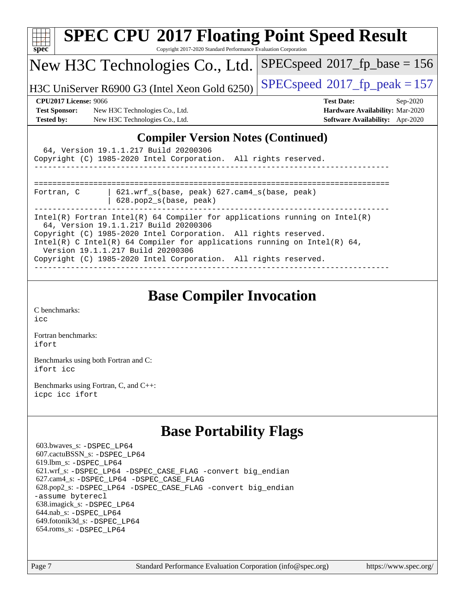| <b>SPEC CPU®2017 Floating Point Speed Result</b><br>Copyright 2017-2020 Standard Performance Evaluation Corporation<br>$spec^*$                                                                                                                                                                                                                                              |                                         |  |  |  |  |  |
|------------------------------------------------------------------------------------------------------------------------------------------------------------------------------------------------------------------------------------------------------------------------------------------------------------------------------------------------------------------------------|-----------------------------------------|--|--|--|--|--|
| New H3C Technologies Co., Ltd.                                                                                                                                                                                                                                                                                                                                               | $SPEC speed^{\circ}2017$ fp base = 156  |  |  |  |  |  |
| H3C UniServer R6900 G3 (Intel Xeon Gold 6250)                                                                                                                                                                                                                                                                                                                                | $SPEC speed^{\circ}2017$ _fp_peak = 157 |  |  |  |  |  |
| <b>CPU2017 License: 9066</b>                                                                                                                                                                                                                                                                                                                                                 | <b>Test Date:</b><br>$Sep-2020$         |  |  |  |  |  |
| <b>Test Sponsor:</b><br>New H3C Technologies Co., Ltd.                                                                                                                                                                                                                                                                                                                       | Hardware Availability: Mar-2020         |  |  |  |  |  |
| <b>Tested by:</b><br>New H3C Technologies Co., Ltd.                                                                                                                                                                                                                                                                                                                          | Software Availability: Apr-2020         |  |  |  |  |  |
| <b>Compiler Version Notes (Continued)</b><br>64, Version 19.1.1.217 Build 20200306<br>Copyright (C) 1985-2020 Intel Corporation. All rights reserved.                                                                                                                                                                                                                        |                                         |  |  |  |  |  |
| $621.wrf_s(base, peak)$ $627.cam4_s(base, peak)$<br>Fortran, C<br>628.pop2_s(base, peak)                                                                                                                                                                                                                                                                                     |                                         |  |  |  |  |  |
| Intel(R) Fortran Intel(R) 64 Compiler for applications running on Intel(R)<br>64, Version 19.1.1.217 Build 20200306<br>Copyright (C) 1985-2020 Intel Corporation. All rights reserved.<br>$Intel(R)$ C Intel(R) 64 Compiler for applications running on Intel(R) 64,<br>Version 19.1.1.217 Build 20200306<br>Copyright (C) 1985-2020 Intel Corporation. All rights reserved. |                                         |  |  |  |  |  |

## **[Base Compiler Invocation](http://www.spec.org/auto/cpu2017/Docs/result-fields.html#BaseCompilerInvocation)**

[C benchmarks](http://www.spec.org/auto/cpu2017/Docs/result-fields.html#Cbenchmarks): [icc](http://www.spec.org/cpu2017/results/res2020q4/cpu2017-20201014-24207.flags.html#user_CCbase_intel_icc_66fc1ee009f7361af1fbd72ca7dcefbb700085f36577c54f309893dd4ec40d12360134090235512931783d35fd58c0460139e722d5067c5574d8eaf2b3e37e92)

[Fortran benchmarks](http://www.spec.org/auto/cpu2017/Docs/result-fields.html#Fortranbenchmarks): [ifort](http://www.spec.org/cpu2017/results/res2020q4/cpu2017-20201014-24207.flags.html#user_FCbase_intel_ifort_8111460550e3ca792625aed983ce982f94888b8b503583aa7ba2b8303487b4d8a21a13e7191a45c5fd58ff318f48f9492884d4413fa793fd88dd292cad7027ca)

[Benchmarks using both Fortran and C](http://www.spec.org/auto/cpu2017/Docs/result-fields.html#BenchmarksusingbothFortranandC): [ifort](http://www.spec.org/cpu2017/results/res2020q4/cpu2017-20201014-24207.flags.html#user_CC_FCbase_intel_ifort_8111460550e3ca792625aed983ce982f94888b8b503583aa7ba2b8303487b4d8a21a13e7191a45c5fd58ff318f48f9492884d4413fa793fd88dd292cad7027ca) [icc](http://www.spec.org/cpu2017/results/res2020q4/cpu2017-20201014-24207.flags.html#user_CC_FCbase_intel_icc_66fc1ee009f7361af1fbd72ca7dcefbb700085f36577c54f309893dd4ec40d12360134090235512931783d35fd58c0460139e722d5067c5574d8eaf2b3e37e92)

[Benchmarks using Fortran, C, and C++:](http://www.spec.org/auto/cpu2017/Docs/result-fields.html#BenchmarksusingFortranCandCXX) [icpc](http://www.spec.org/cpu2017/results/res2020q4/cpu2017-20201014-24207.flags.html#user_CC_CXX_FCbase_intel_icpc_c510b6838c7f56d33e37e94d029a35b4a7bccf4766a728ee175e80a419847e808290a9b78be685c44ab727ea267ec2f070ec5dc83b407c0218cded6866a35d07) [icc](http://www.spec.org/cpu2017/results/res2020q4/cpu2017-20201014-24207.flags.html#user_CC_CXX_FCbase_intel_icc_66fc1ee009f7361af1fbd72ca7dcefbb700085f36577c54f309893dd4ec40d12360134090235512931783d35fd58c0460139e722d5067c5574d8eaf2b3e37e92) [ifort](http://www.spec.org/cpu2017/results/res2020q4/cpu2017-20201014-24207.flags.html#user_CC_CXX_FCbase_intel_ifort_8111460550e3ca792625aed983ce982f94888b8b503583aa7ba2b8303487b4d8a21a13e7191a45c5fd58ff318f48f9492884d4413fa793fd88dd292cad7027ca)

## **[Base Portability Flags](http://www.spec.org/auto/cpu2017/Docs/result-fields.html#BasePortabilityFlags)**

 603.bwaves\_s: [-DSPEC\\_LP64](http://www.spec.org/cpu2017/results/res2020q4/cpu2017-20201014-24207.flags.html#suite_basePORTABILITY603_bwaves_s_DSPEC_LP64) 607.cactuBSSN\_s: [-DSPEC\\_LP64](http://www.spec.org/cpu2017/results/res2020q4/cpu2017-20201014-24207.flags.html#suite_basePORTABILITY607_cactuBSSN_s_DSPEC_LP64) 619.lbm\_s: [-DSPEC\\_LP64](http://www.spec.org/cpu2017/results/res2020q4/cpu2017-20201014-24207.flags.html#suite_basePORTABILITY619_lbm_s_DSPEC_LP64) 621.wrf\_s: [-DSPEC\\_LP64](http://www.spec.org/cpu2017/results/res2020q4/cpu2017-20201014-24207.flags.html#suite_basePORTABILITY621_wrf_s_DSPEC_LP64) [-DSPEC\\_CASE\\_FLAG](http://www.spec.org/cpu2017/results/res2020q4/cpu2017-20201014-24207.flags.html#b621.wrf_s_baseCPORTABILITY_DSPEC_CASE_FLAG) [-convert big\\_endian](http://www.spec.org/cpu2017/results/res2020q4/cpu2017-20201014-24207.flags.html#user_baseFPORTABILITY621_wrf_s_convert_big_endian_c3194028bc08c63ac5d04de18c48ce6d347e4e562e8892b8bdbdc0214820426deb8554edfa529a3fb25a586e65a3d812c835984020483e7e73212c4d31a38223) 627.cam4\_s: [-DSPEC\\_LP64](http://www.spec.org/cpu2017/results/res2020q4/cpu2017-20201014-24207.flags.html#suite_basePORTABILITY627_cam4_s_DSPEC_LP64) [-DSPEC\\_CASE\\_FLAG](http://www.spec.org/cpu2017/results/res2020q4/cpu2017-20201014-24207.flags.html#b627.cam4_s_baseCPORTABILITY_DSPEC_CASE_FLAG) 628.pop2\_s: [-DSPEC\\_LP64](http://www.spec.org/cpu2017/results/res2020q4/cpu2017-20201014-24207.flags.html#suite_basePORTABILITY628_pop2_s_DSPEC_LP64) [-DSPEC\\_CASE\\_FLAG](http://www.spec.org/cpu2017/results/res2020q4/cpu2017-20201014-24207.flags.html#b628.pop2_s_baseCPORTABILITY_DSPEC_CASE_FLAG) [-convert big\\_endian](http://www.spec.org/cpu2017/results/res2020q4/cpu2017-20201014-24207.flags.html#user_baseFPORTABILITY628_pop2_s_convert_big_endian_c3194028bc08c63ac5d04de18c48ce6d347e4e562e8892b8bdbdc0214820426deb8554edfa529a3fb25a586e65a3d812c835984020483e7e73212c4d31a38223) [-assume byterecl](http://www.spec.org/cpu2017/results/res2020q4/cpu2017-20201014-24207.flags.html#user_baseFPORTABILITY628_pop2_s_assume_byterecl_7e47d18b9513cf18525430bbf0f2177aa9bf368bc7a059c09b2c06a34b53bd3447c950d3f8d6c70e3faf3a05c8557d66a5798b567902e8849adc142926523472) 638.imagick\_s: [-DSPEC\\_LP64](http://www.spec.org/cpu2017/results/res2020q4/cpu2017-20201014-24207.flags.html#suite_basePORTABILITY638_imagick_s_DSPEC_LP64) 644.nab\_s: [-DSPEC\\_LP64](http://www.spec.org/cpu2017/results/res2020q4/cpu2017-20201014-24207.flags.html#suite_basePORTABILITY644_nab_s_DSPEC_LP64) 649.fotonik3d\_s: [-DSPEC\\_LP64](http://www.spec.org/cpu2017/results/res2020q4/cpu2017-20201014-24207.flags.html#suite_basePORTABILITY649_fotonik3d_s_DSPEC_LP64) 654.roms\_s: [-DSPEC\\_LP64](http://www.spec.org/cpu2017/results/res2020q4/cpu2017-20201014-24207.flags.html#suite_basePORTABILITY654_roms_s_DSPEC_LP64)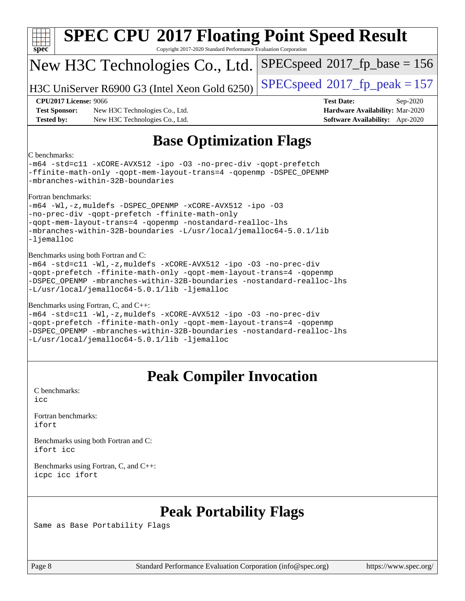| <b>SPEC CPU®2017 Floating Point Speed Result</b><br>Copyright 2017-2020 Standard Performance Evaluation Corporation<br>$spec^*$                                                                                                                                                                             |                                                                                                     |  |  |  |  |  |
|-------------------------------------------------------------------------------------------------------------------------------------------------------------------------------------------------------------------------------------------------------------------------------------------------------------|-----------------------------------------------------------------------------------------------------|--|--|--|--|--|
| New H3C Technologies Co., Ltd.                                                                                                                                                                                                                                                                              | $SPEC speed^{\circ}2017$ [p_base = 156                                                              |  |  |  |  |  |
| H3C UniServer R6900 G3 (Intel Xeon Gold 6250)                                                                                                                                                                                                                                                               | $SPEC speed^{\circ}2017$ _fp_peak = 157                                                             |  |  |  |  |  |
| <b>CPU2017 License: 9066</b><br><b>Test Sponsor:</b><br>New H3C Technologies Co., Ltd.<br><b>Tested by:</b><br>New H3C Technologies Co., Ltd.                                                                                                                                                               | <b>Test Date:</b><br>Sep-2020<br>Hardware Availability: Mar-2020<br>Software Availability: Apr-2020 |  |  |  |  |  |
| <b>Base Optimization Flags</b>                                                                                                                                                                                                                                                                              |                                                                                                     |  |  |  |  |  |
| C benchmarks:<br>-m64 -std=cl1 -xCORE-AVX512 -ipo -03 -no-prec-div -qopt-prefetch<br>-ffinite-math-only -qopt-mem-layout-trans=4 -qopenmp -DSPEC_OPENMP<br>-mbranches-within-32B-boundaries                                                                                                                 |                                                                                                     |  |  |  |  |  |
| Fortran benchmarks:<br>-m64 -Wl,-z, muldefs -DSPEC_OPENMP -xCORE-AVX512 -ipo -03<br>-no-prec-div -qopt-prefetch -ffinite-math-only<br>-qopt-mem-layout-trans=4 -qopenmp -nostandard-realloc-lhs<br>-mbranches-within-32B-boundaries -L/usr/local/jemalloc64-5.0.1/lib<br>-ljemalloc                         |                                                                                                     |  |  |  |  |  |
| Benchmarks using both Fortran and C:<br>-m64 -std=cl1 -Wl,-z, muldefs -xCORE-AVX512 -ipo -03 -no-prec-div<br>-qopt-prefetch -ffinite-math-only -qopt-mem-layout-trans=4 -qopenmp<br>-DSPEC OPENMP -mbranches-within-32B-boundaries -nostandard-realloc-lhs<br>-L/usr/local/jemalloc64-5.0.1/lib -ljemalloc  |                                                                                                     |  |  |  |  |  |
| Benchmarks using Fortran, C, and C++:<br>-m64 -std=c11 -Wl,-z, muldefs -xCORE-AVX512 -ipo -03 -no-prec-div<br>-qopt-prefetch -ffinite-math-only -qopt-mem-layout-trans=4 -qopenmp<br>-DSPEC OPENMP -mbranches-within-32B-boundaries -nostandard-realloc-lhs<br>-L/usr/local/jemalloc64-5.0.1/lib -ljemalloc |                                                                                                     |  |  |  |  |  |
| <b>Peak Compiler Invocation</b>                                                                                                                                                                                                                                                                             |                                                                                                     |  |  |  |  |  |
| C benchmarks:<br>icc                                                                                                                                                                                                                                                                                        |                                                                                                     |  |  |  |  |  |
| Fortran benchmarks:<br>ifort                                                                                                                                                                                                                                                                                |                                                                                                     |  |  |  |  |  |
| Benchmarks using both Fortran and C:<br>ifort icc                                                                                                                                                                                                                                                           |                                                                                                     |  |  |  |  |  |
| Benchmarks using Fortran, C, and C++:<br>icpc icc ifort                                                                                                                                                                                                                                                     |                                                                                                     |  |  |  |  |  |
|                                                                                                                                                                                                                                                                                                             |                                                                                                     |  |  |  |  |  |

## **[Peak Portability Flags](http://www.spec.org/auto/cpu2017/Docs/result-fields.html#PeakPortabilityFlags)**

Same as Base Portability Flags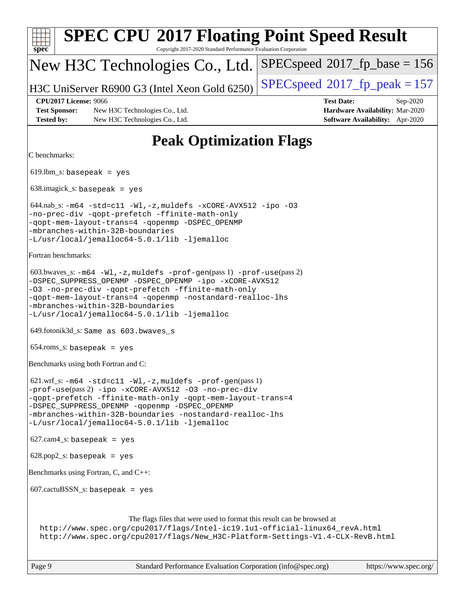| <b>SPEC CPU®2017 Floating Point Speed Result</b><br>Copyright 2017-2020 Standard Performance Evaluation Corporation<br>$spec^*$                                                                                                                                                                                                                      |                                                                                                            |  |  |  |  |  |
|------------------------------------------------------------------------------------------------------------------------------------------------------------------------------------------------------------------------------------------------------------------------------------------------------------------------------------------------------|------------------------------------------------------------------------------------------------------------|--|--|--|--|--|
| New H3C Technologies Co., Ltd.                                                                                                                                                                                                                                                                                                                       | $SPEC speed^{\circ}2017\_fp\_base = 156$                                                                   |  |  |  |  |  |
| H3C UniServer R6900 G3 (Intel Xeon Gold 6250)                                                                                                                                                                                                                                                                                                        | $SPEC speed^{\circ}2017$ _fp_peak = 157                                                                    |  |  |  |  |  |
| <b>CPU2017 License: 9066</b><br><b>Test Sponsor:</b><br>New H3C Technologies Co., Ltd.<br><b>Tested by:</b><br>New H3C Technologies Co., Ltd.                                                                                                                                                                                                        | <b>Test Date:</b><br>Sep-2020<br>Hardware Availability: Mar-2020<br><b>Software Availability:</b> Apr-2020 |  |  |  |  |  |
| <b>Peak Optimization Flags</b>                                                                                                                                                                                                                                                                                                                       |                                                                                                            |  |  |  |  |  |
| C benchmarks:                                                                                                                                                                                                                                                                                                                                        |                                                                                                            |  |  |  |  |  |
| $619.$ lbm_s: basepeak = yes                                                                                                                                                                                                                                                                                                                         |                                                                                                            |  |  |  |  |  |
| $638.\text{imagek}_s:$ basepeak = yes                                                                                                                                                                                                                                                                                                                |                                                                                                            |  |  |  |  |  |
| 644.nab_s: -m64 -std=c11 -Wl,-z, muldefs -xCORE-AVX512 -ipo -03<br>-no-prec-div -qopt-prefetch -ffinite-math-only<br>-qopt-mem-layout-trans=4 -qopenmp -DSPEC_OPENMP<br>-mbranches-within-32B-boundaries<br>-L/usr/local/jemalloc64-5.0.1/lib -ljemalloc                                                                                             |                                                                                                            |  |  |  |  |  |
| Fortran benchmarks:                                                                                                                                                                                                                                                                                                                                  |                                                                                                            |  |  |  |  |  |
| $603.bwaves$ $s: -m64 -W1, -z$ , muldefs $-prof-gen(pass 1) -prof-use(pass 2)$<br>-DSPEC_SUPPRESS_OPENMP -DSPEC_OPENMP -ipo -xCORE-AVX512<br>-03 -no-prec-div -qopt-prefetch -ffinite-math-only<br>-qopt-mem-layout-trans=4 -qopenmp -nostandard-realloc-lhs<br>-mbranches-within-32B-boundaries<br>-L/usr/local/jemalloc64-5.0.1/lib -ljemalloc     |                                                                                                            |  |  |  |  |  |
| 649.fotonik3d_s: Same as 603.bwaves_s                                                                                                                                                                                                                                                                                                                |                                                                                                            |  |  |  |  |  |
| $654$ .roms_s: basepeak = yes                                                                                                                                                                                                                                                                                                                        |                                                                                                            |  |  |  |  |  |
| Benchmarks using both Fortran and C:                                                                                                                                                                                                                                                                                                                 |                                                                                                            |  |  |  |  |  |
| $621.wrf$ _s: $-m64$ -std=c11 -Wl, -z, muldefs -prof-qen(pass 1)<br>-prof-use(pass 2) -ipo -xCORE-AVX512 -03 -no-prec-div<br>-qopt-prefetch -ffinite-math-only -qopt-mem-layout-trans=4<br>-DSPEC_SUPPRESS_OPENMP -qopenmp -DSPEC_OPENMP<br>-mbranches-within-32B-boundaries -nostandard-realloc-lhs<br>-L/usr/local/jemalloc64-5.0.1/lib -ljemalloc |                                                                                                            |  |  |  |  |  |
| $627.cam4_s$ : basepeak = yes                                                                                                                                                                                                                                                                                                                        |                                                                                                            |  |  |  |  |  |
| $628.pop2_s: basepeak = yes$                                                                                                                                                                                                                                                                                                                         |                                                                                                            |  |  |  |  |  |
| Benchmarks using Fortran, C, and C++:                                                                                                                                                                                                                                                                                                                |                                                                                                            |  |  |  |  |  |
| $607.cactuBSSN_s$ : basepeak = yes                                                                                                                                                                                                                                                                                                                   |                                                                                                            |  |  |  |  |  |
| The flags files that were used to format this result can be browsed at<br>http://www.spec.org/cpu2017/flags/Intel-ic19.1u1-official-linux64_revA.html<br>http://www.spec.org/cpu2017/flags/New_H3C-Platform-Settings-V1.4-CLX-RevB.html                                                                                                              |                                                                                                            |  |  |  |  |  |